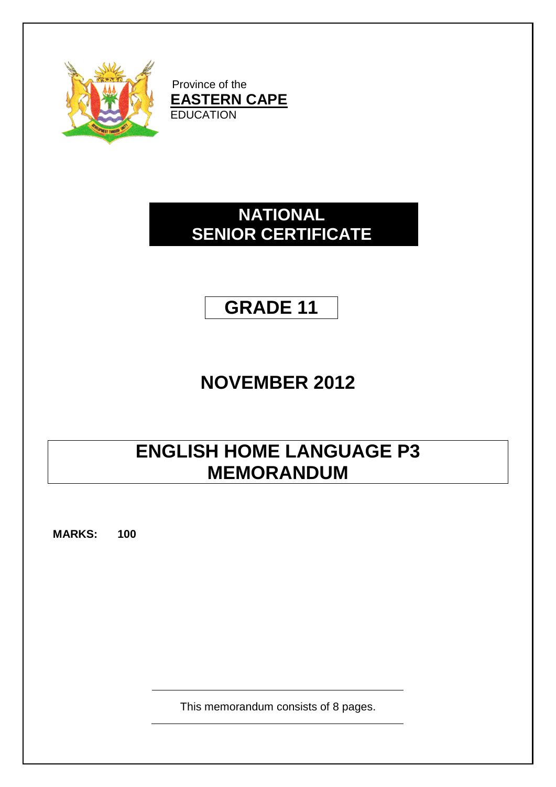

Province of the **EASTERN CAPE** EDUCATION

### **NATIONAL SENIOR CERTIFICATE**

## **GRADE 11**

## **NOVEMBER 2012**

# **ENGLISH HOME LANGUAGE P3 MEMORANDUM**

**MARKS: 100**

This memorandum consists of 8 pages.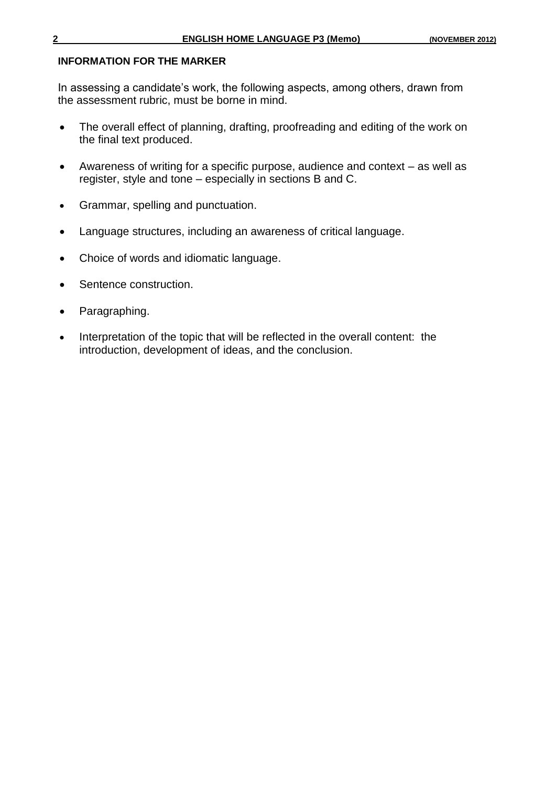#### **INFORMATION FOR THE MARKER**

In assessing a candidate's work, the following aspects, among others, drawn from the assessment rubric, must be borne in mind.

- The overall effect of planning, drafting, proofreading and editing of the work on the final text produced.
- Awareness of writing for a specific purpose, audience and context as well as register, style and tone – especially in sections B and C.
- Grammar, spelling and punctuation.
- Language structures, including an awareness of critical language.
- Choice of words and idiomatic language.
- Sentence construction.
- Paragraphing.
- Interpretation of the topic that will be reflected in the overall content: the introduction, development of ideas, and the conclusion.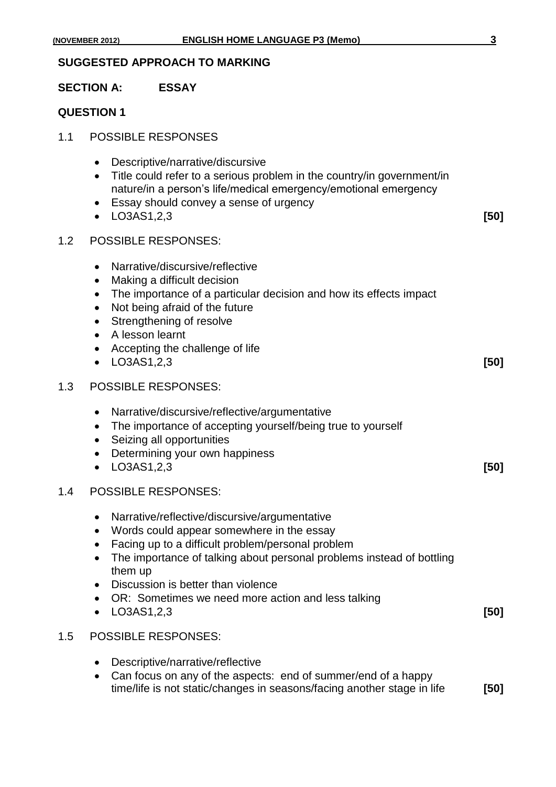#### **SECTION A: ESSAY**

#### **QUESTION 1**

- 1.1 POSSIBLE RESPONSES
	- Descriptive/narrative/discursive
	- Title could refer to a serious problem in the country/in government/in nature/in a person's life/medical emergency/emotional emergency
	- Essay should convey a sense of urgency
	- LO3AS1,2,3 **[50]**
- 1.2 POSSIBLE RESPONSES:
	- Narrative/discursive/reflective
	- Making a difficult decision
	- The importance of a particular decision and how its effects impact
	- Not being afraid of the future
	- Strengthening of resolve
	- A lesson learnt
	- Accepting the challenge of life
	- LO3AS1,2,3 **[50]**

#### 1.3 POSSIBLE RESPONSES:

- Narrative/discursive/reflective/argumentative
- The importance of accepting yourself/being true to yourself
- Seizing all opportunities
- Determining your own happiness
- LO3AS1,2,3 **[50]**

#### 1.4 POSSIBLE RESPONSES:

- Narrative/reflective/discursive/argumentative
- Words could appear somewhere in the essay
- Facing up to a difficult problem/personal problem
- The importance of talking about personal problems instead of bottling them up
- Discussion is better than violence
- OR: Sometimes we need more action and less talking
- LO3AS1,2,3 **[50]**

#### 1.5 POSSIBLE RESPONSES:

- Descriptive/narrative/reflective
- Can focus on any of the aspects: end of summer/end of a happy time/life is not static/changes in seasons/facing another stage in life **[50]**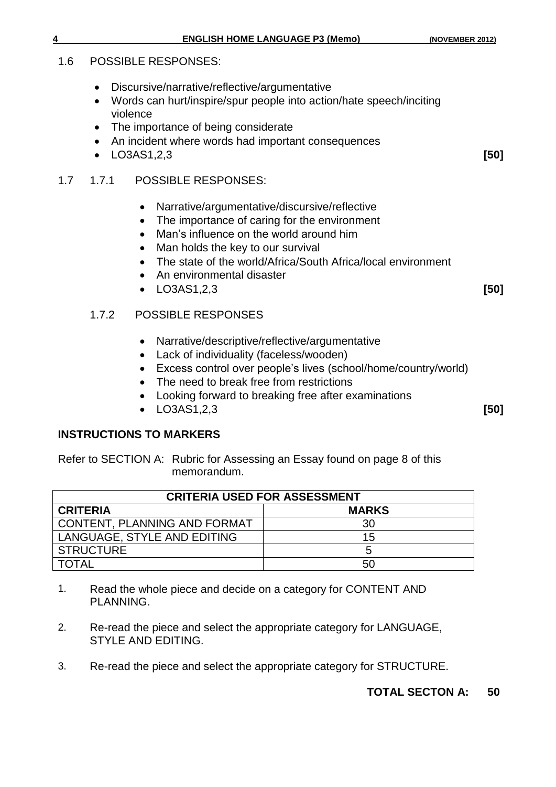#### 1.6 POSSIBLE RESPONSES:

- Discursive/narrative/reflective/argumentative
- Words can hurt/inspire/spur people into action/hate speech/inciting violence
- The importance of being considerate
- An incident where words had important consequences
- LO3AS1,2,3 **[50]**

#### 1.7 1.7.1 POSSIBLE RESPONSES:

- Narrative/argumentative/discursive/reflective
- The importance of caring for the environment
- Man's influence on the world around him
- Man holds the key to our survival
- The state of the world/Africa/South Africa/local environment
- An environmental disaster
- LO3AS1,2,3 **[50]**

#### 1.7.2 POSSIBLE RESPONSES

- Narrative/descriptive/reflective/argumentative
- Lack of individuality (faceless/wooden)
- Excess control over people's lives (school/home/country/world)
- The need to break free from restrictions
- Looking forward to breaking free after examinations
- LO3AS1,2,3 **[50]**

#### **INSTRUCTIONS TO MARKERS**

Refer to SECTION A: Rubric for Assessing an Essay found on page 8 of this memorandum.

| <b>CRITERIA USED FOR ASSESSMENT</b> |              |  |  |  |  |
|-------------------------------------|--------------|--|--|--|--|
| <b>CRITERIA</b>                     | <b>MARKS</b> |  |  |  |  |
| <b>CONTENT, PLANNING AND FORMAT</b> | 30           |  |  |  |  |
| LANGUAGE, STYLE AND EDITING         | 15           |  |  |  |  |
| <b>STRUCTURE</b>                    |              |  |  |  |  |
| <b>TOTAL</b>                        | 50           |  |  |  |  |

- 1. Read the whole piece and decide on a category for CONTENT AND PLANNING.
- 2. Re-read the piece and select the appropriate category for LANGUAGE, STYLE AND EDITING.
- 3. Re-read the piece and select the appropriate category for STRUCTURE.

#### **TOTAL SECTON A: 50**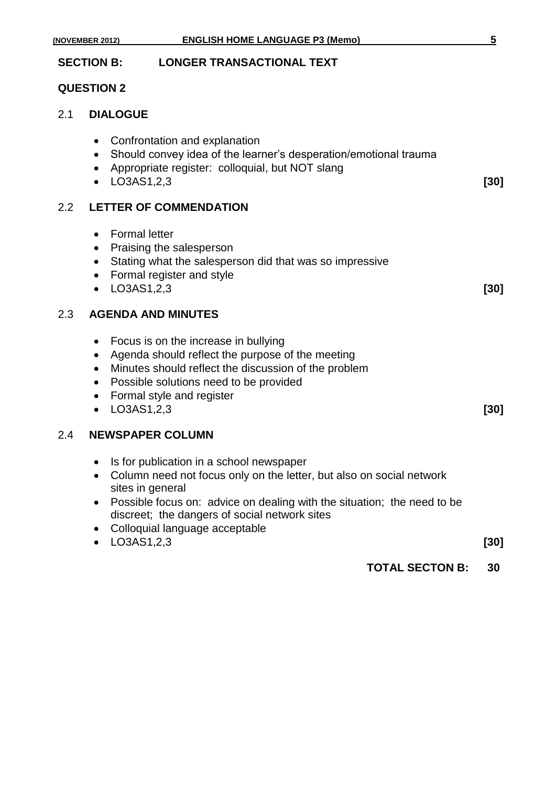|     | <b>SECTION B:</b><br><b>LONGER TRANSACTIONAL TEXT</b>                                                                                                                                                                                                                                                            |        |
|-----|------------------------------------------------------------------------------------------------------------------------------------------------------------------------------------------------------------------------------------------------------------------------------------------------------------------|--------|
|     | <b>QUESTION 2</b>                                                                                                                                                                                                                                                                                                |        |
| 2.1 | <b>DIALOGUE</b>                                                                                                                                                                                                                                                                                                  |        |
|     | Confrontation and explanation<br>$\bullet$<br>Should convey idea of the learner's desperation/emotional trauma<br>$\bullet$<br>Appropriate register: colloquial, but NOT slang<br>$\bullet$ LO3AS1,2,3                                                                                                           | $[30]$ |
| 2.2 | <b>LETTER OF COMMENDATION</b>                                                                                                                                                                                                                                                                                    |        |
|     | <b>Formal letter</b><br>$\bullet$<br>• Praising the salesperson<br>Stating what the salesperson did that was so impressive<br>$\bullet$<br>• Formal register and style<br>LO3AS1,2,3<br>$\bullet$                                                                                                                | $[30]$ |
| 2.3 | <b>AGENDA AND MINUTES</b>                                                                                                                                                                                                                                                                                        |        |
|     | Focus is on the increase in bullying<br>$\bullet$<br>Agenda should reflect the purpose of the meeting<br>$\bullet$<br>Minutes should reflect the discussion of the problem<br>$\bullet$<br>Possible solutions need to be provided<br>$\bullet$<br>Formal style and register<br>$\bullet$<br>$\bullet$ LO3AS1,2,3 | $[30]$ |
| 2.4 | <b>NEWSPAPER COLUMN</b>                                                                                                                                                                                                                                                                                          |        |
|     | Is for publication in a school newspaper<br>$\bullet$<br>• Column need not focus only on the letter, but also on social network<br>sites in general<br>Possible focus on: advice on dealing with the situation; the need to be<br>discreet; the dangers of social network sites                                  |        |

Colloquial language acceptable

|  | $\bullet$ LO3AS1,2,3 | [30] |
|--|----------------------|------|
|--|----------------------|------|

**TOTAL SECTON B: 30**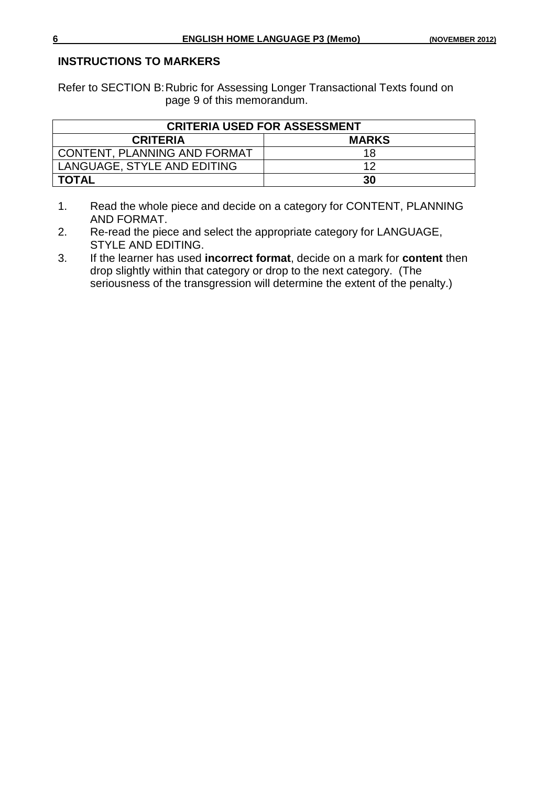#### **INSTRUCTIONS TO MARKERS**

Refer to SECTION B:Rubric for Assessing Longer Transactional Texts found on page 9 of this memorandum.

| <b>CRITERIA USED FOR ASSESSMENT</b> |    |  |  |  |  |
|-------------------------------------|----|--|--|--|--|
| <b>MARKS</b><br><b>CRITERIA</b>     |    |  |  |  |  |
| <b>CONTENT, PLANNING AND FORMAT</b> | 18 |  |  |  |  |
| LANGUAGE, STYLE AND EDITING         | 12 |  |  |  |  |
| <b>TOTAL</b>                        | 30 |  |  |  |  |

- 1. Read the whole piece and decide on a category for CONTENT, PLANNING AND FORMAT.
- 2. Re-read the piece and select the appropriate category for LANGUAGE, STYLE AND EDITING.
- 3. If the learner has used **incorrect format**, decide on a mark for **content** then drop slightly within that category or drop to the next category. (The seriousness of the transgression will determine the extent of the penalty.)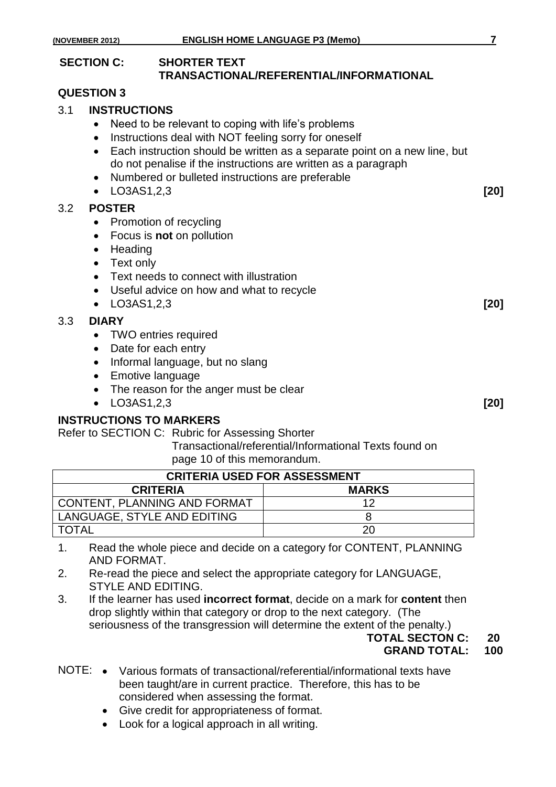#### **SECTION C: SHORTER TEXT TRANSACTIONAL/REFERENTIAL/INFORMATIONAL**

#### **QUESTION 3**

- 3.1 **INSTRUCTIONS**
	- Need to be relevant to coping with life's problems
	- Instructions deal with NOT feeling sorry for oneself
	- Each instruction should be written as a separate point on a new line, but do not penalise if the instructions are written as a paragraph
	- Numbered or bulleted instructions are preferable
	- LO3AS1,2,3 **[20]**

#### 3.2 **POSTER**

- Promotion of recycling
- Focus is **not** on pollution
- Heading
- Text only
- **•** Text needs to connect with illustration
- Useful advice on how and what to recycle
- LO3AS1,2,3 **[20]**

#### 3.3 **DIARY**

- TWO entries required
- Date for each entry
- Informal language, but no slang
- Emotive language
- The reason for the anger must be clear
- LO3AS1,2,3 **[20]**

#### **INSTRUCTIONS TO MARKERS**

Refer to SECTION C: Rubric for Assessing Shorter

Transactional/referential/Informational Texts found on page 10 of this memorandum.

| <b>CRITERIA USED FOR ASSESSMENT</b> |    |  |  |  |  |
|-------------------------------------|----|--|--|--|--|
| <b>MARKS</b><br><b>CRITERIA</b>     |    |  |  |  |  |
| CONTENT, PLANNING AND FORMAT        | 12 |  |  |  |  |
| LANGUAGE, STYLE AND EDITING         |    |  |  |  |  |
| <b>TOTAL</b>                        | 20 |  |  |  |  |

- 1. Read the whole piece and decide on a category for CONTENT, PLANNING AND FORMAT.
- 2. Re-read the piece and select the appropriate category for LANGUAGE, STYLE AND EDITING.
- 3. If the learner has used **incorrect format**, decide on a mark for **content** then drop slightly within that category or drop to the next category. (The seriousness of the transgression will determine the extent of the penalty.)

#### **TOTAL SECTON C: 20 GRAND TOTAL: 100**

- NOTE: Various formats of transactional/referential/informational texts have been taught/are in current practice. Therefore, this has to be considered when assessing the format.
	- Give credit for appropriateness of format.
	- Look for a logical approach in all writing.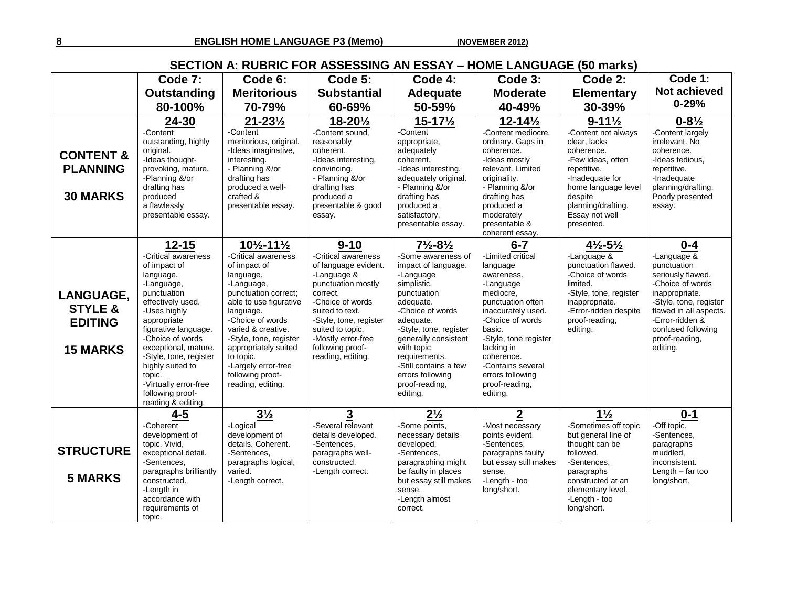**8 ENGLISH HOME LANGUAGE P3 (Memo) (NOVEMBER 2012)**

### **SECTION A: RUBRIC FOR ASSESSING AN ESSAY – HOME LANGUAGE (50 marks)**

|                                                                      | Code 7:                                                                                                                                                                                                                                                                                                                                       | Code 6:                                                                                                                                                                                                                                                                                                                                   | Code 5:                                                                                                                                                                                                                                                      | Code 4:                                                                                                                                                                                                                                                                                                                         | Code 3:                                                                                                                                                                                                                                                                               | Code 2:                                                                                                                                                                                                                 | Code 1:                                                                                                                                                                                                                        |
|----------------------------------------------------------------------|-----------------------------------------------------------------------------------------------------------------------------------------------------------------------------------------------------------------------------------------------------------------------------------------------------------------------------------------------|-------------------------------------------------------------------------------------------------------------------------------------------------------------------------------------------------------------------------------------------------------------------------------------------------------------------------------------------|--------------------------------------------------------------------------------------------------------------------------------------------------------------------------------------------------------------------------------------------------------------|---------------------------------------------------------------------------------------------------------------------------------------------------------------------------------------------------------------------------------------------------------------------------------------------------------------------------------|---------------------------------------------------------------------------------------------------------------------------------------------------------------------------------------------------------------------------------------------------------------------------------------|-------------------------------------------------------------------------------------------------------------------------------------------------------------------------------------------------------------------------|--------------------------------------------------------------------------------------------------------------------------------------------------------------------------------------------------------------------------------|
|                                                                      | Outstanding                                                                                                                                                                                                                                                                                                                                   | <b>Meritorious</b>                                                                                                                                                                                                                                                                                                                        | <b>Substantial</b>                                                                                                                                                                                                                                           | <b>Adequate</b>                                                                                                                                                                                                                                                                                                                 | <b>Moderate</b>                                                                                                                                                                                                                                                                       | <b>Elementary</b>                                                                                                                                                                                                       | Not achieved                                                                                                                                                                                                                   |
|                                                                      | 80-100%                                                                                                                                                                                                                                                                                                                                       | 70-79%                                                                                                                                                                                                                                                                                                                                    | 60-69%                                                                                                                                                                                                                                                       | 50-59%                                                                                                                                                                                                                                                                                                                          | 40-49%                                                                                                                                                                                                                                                                                | 30-39%                                                                                                                                                                                                                  | $0 - 29%$                                                                                                                                                                                                                      |
| <b>CONTENT &amp;</b><br><b>PLANNING</b><br><b>30 MARKS</b>           | 24-30<br>-Content<br>outstanding, highly<br>original.<br>-Ideas thought-<br>provoking, mature.<br>-Planning &/or<br>drafting has<br>produced<br>a flawlessly<br>presentable essay.                                                                                                                                                            | $21 - 23\frac{1}{2}$<br>-Content<br>meritorious, original.<br>-Ideas imaginative,<br>interesting.<br>- Planning &/or<br>drafting has<br>produced a well-<br>crafted &<br>presentable essay.                                                                                                                                               | 18-201/2<br>-Content sound,<br>reasonably<br>coherent.<br>-Ideas interesting,<br>convincing.<br>- Planning &/or<br>drafting has<br>produced a<br>presentable & good<br>essay.                                                                                | $15 - 17\frac{1}{2}$<br>$-Content$<br>appropriate,<br>adequately<br>coherent.<br>-Ideas interesting,<br>adequately original.<br>- Planning &/or<br>drafting has<br>produced a<br>satisfactory,<br>presentable essay.                                                                                                            | $12 - 14\frac{1}{2}$<br>-Content mediocre,<br>ordinary. Gaps in<br>coherence.<br>-Ideas mostly<br>relevant. Limited<br>originality.<br>- Planning &/or<br>drafting has<br>produced a<br>moderately<br>presentable &<br>coherent essay.                                                | $9 - 11\frac{1}{2}$<br>-Content not always<br>clear, lacks<br>coherence.<br>-Few ideas, often<br>repetitive.<br>-Inadequate for<br>home language level<br>despite<br>planning/drafting.<br>Essay not well<br>presented. | $0 - 8\frac{1}{2}$<br>-Content largely<br>irrelevant. No<br>coherence.<br>-Ideas tedious,<br>repetitive.<br>-Inadequate<br>planning/drafting.<br>Poorly presented<br>essay.                                                    |
| LANGUAGE,<br><b>STYLE &amp;</b><br><b>EDITING</b><br><b>15 MARKS</b> | $12 - 15$<br>-Critical awareness<br>of impact of<br>language.<br>-Language,<br>punctuation<br>effectively used.<br>-Uses highly<br>appropriate<br>figurative language.<br>-Choice of words<br>exceptional, mature.<br>-Style, tone, register<br>highly suited to<br>topic.<br>-Virtually error-free<br>following proof-<br>reading & editing. | $10\frac{1}{2} - 11\frac{1}{2}$<br>-Critical awareness<br>of impact of<br>language.<br>-Language,<br>punctuation correct;<br>able to use figurative<br>language.<br>-Choice of words<br>varied & creative.<br>-Style, tone, register<br>appropriately suited<br>to topic.<br>-Largely error-free<br>following proof-<br>reading, editing. | $9 - 10$<br>-Critical awareness<br>of language evident.<br>-Language &<br>punctuation mostly<br>correct.<br>-Choice of words<br>suited to text.<br>-Style, tone, register<br>suited to topic.<br>-Mostly error-free<br>following proof-<br>reading, editing. | $7\frac{1}{2} - 8\frac{1}{2}$<br>-Some awareness of<br>impact of language.<br>-Language<br>simplistic.<br>punctuation<br>adequate.<br>-Choice of words<br>adequate.<br>-Style, tone, register<br>generally consistent<br>with topic<br>requirements.<br>-Still contains a few<br>errors following<br>proof-reading,<br>editing. | $6 - 7$<br>-Limited critical<br>language<br>awareness.<br>-Language<br>mediocre,<br>punctuation often<br>inaccurately used.<br>-Choice of words<br>basic.<br>-Style, tone register<br>lacking in<br>coherence.<br>-Contains several<br>errors following<br>proof-reading,<br>editing. | $4\frac{1}{2} - 5\frac{1}{2}$<br>-Language $&$<br>punctuation flawed.<br>-Choice of words<br>limited.<br>-Style, tone, register<br>inappropriate.<br>-Error-ridden despite<br>proof-reading,<br>editing.                | $0 - 4$<br>-Language $\&$<br>punctuation<br>seriously flawed.<br>-Choice of words<br>inappropriate.<br>-Style, tone, register<br>flawed in all aspects.<br>-Error-ridden &<br>confused following<br>proof-reading,<br>editing. |
| <b>STRUCTURE</b><br><b>5 MARKS</b>                                   | $4 - 5$<br>-Coherent<br>development of<br>topic. Vivid,<br>exceptional detail.<br>-Sentences,<br>paragraphs brilliantly<br>constructed.<br>-Length in<br>accordance with<br>requirements of<br>topic.                                                                                                                                         | $3\frac{1}{2}$<br>-Logical<br>development of<br>details. Coherent.<br>-Sentences,<br>paragraphs logical,<br>varied.<br>-Length correct.                                                                                                                                                                                                   | 3<br>-Several relevant<br>details developed.<br>-Sentences.<br>paragraphs well-<br>constructed.<br>-Length correct.                                                                                                                                          | $2\frac{1}{2}$<br>-Some points,<br>necessary details<br>developed.<br>-Sentences,<br>paragraphing might<br>be faulty in places<br>but essay still makes<br>sense.<br>-Length almost<br>correct.                                                                                                                                 | $\overline{2}$<br>-Most necessary<br>points evident.<br>-Sentences,<br>paragraphs faulty<br>but essay still makes<br>sense.<br>-Length - too<br>long/short.                                                                                                                           | $1\frac{1}{2}$<br>Sometimes off topic<br>but general line of<br>thought can be<br>followed.<br>-Sentences,<br>paragraphs<br>constructed at an<br>elementary level.<br>-Length - too<br>long/short.                      | $0 - 1$<br>-Off topic.<br>-Sentences,<br>paragraphs<br>muddled.<br>inconsistent.<br>Length $-$ far too<br>long/short.                                                                                                          |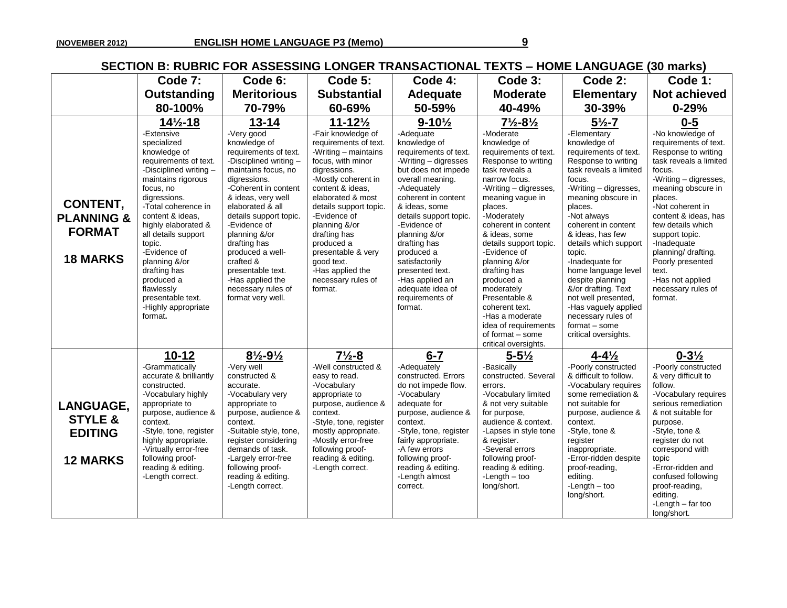### **SECTION B: RUBRIC FOR ASSESSING LONGER TRANSACTIONAL TEXTS – HOME LANGUAGE (30 marks)**

|                                                                              |                                                                                                                                                                                                                                                                                                                                                                                                               |                                                                                                                                                                                                                                                                                                                                                                                                    |                                                                                                                                                                                                                                                                                                                                                                                    |                                                                                                                                                                                                                                                                                                                                                                                                        |                                                                                                                                                                                                                                                                                                                                                                                                                                                                       |                                                                                                                                                                                                                                                                                                                                                                                                                                                                                                   | , , , , , , , , , , , , , , , ,                                                                                                                                                                                                                                                                                                                                                      |
|------------------------------------------------------------------------------|---------------------------------------------------------------------------------------------------------------------------------------------------------------------------------------------------------------------------------------------------------------------------------------------------------------------------------------------------------------------------------------------------------------|----------------------------------------------------------------------------------------------------------------------------------------------------------------------------------------------------------------------------------------------------------------------------------------------------------------------------------------------------------------------------------------------------|------------------------------------------------------------------------------------------------------------------------------------------------------------------------------------------------------------------------------------------------------------------------------------------------------------------------------------------------------------------------------------|--------------------------------------------------------------------------------------------------------------------------------------------------------------------------------------------------------------------------------------------------------------------------------------------------------------------------------------------------------------------------------------------------------|-----------------------------------------------------------------------------------------------------------------------------------------------------------------------------------------------------------------------------------------------------------------------------------------------------------------------------------------------------------------------------------------------------------------------------------------------------------------------|---------------------------------------------------------------------------------------------------------------------------------------------------------------------------------------------------------------------------------------------------------------------------------------------------------------------------------------------------------------------------------------------------------------------------------------------------------------------------------------------------|--------------------------------------------------------------------------------------------------------------------------------------------------------------------------------------------------------------------------------------------------------------------------------------------------------------------------------------------------------------------------------------|
|                                                                              | Code 7:                                                                                                                                                                                                                                                                                                                                                                                                       | Code 6:                                                                                                                                                                                                                                                                                                                                                                                            | Code 5:                                                                                                                                                                                                                                                                                                                                                                            | Code 4:                                                                                                                                                                                                                                                                                                                                                                                                | Code 3:                                                                                                                                                                                                                                                                                                                                                                                                                                                               | Code 2:                                                                                                                                                                                                                                                                                                                                                                                                                                                                                           | Code 1:                                                                                                                                                                                                                                                                                                                                                                              |
|                                                                              | Outstanding                                                                                                                                                                                                                                                                                                                                                                                                   | <b>Meritorious</b>                                                                                                                                                                                                                                                                                                                                                                                 | <b>Substantial</b>                                                                                                                                                                                                                                                                                                                                                                 | <b>Adequate</b>                                                                                                                                                                                                                                                                                                                                                                                        | <b>Moderate</b>                                                                                                                                                                                                                                                                                                                                                                                                                                                       | <b>Elementary</b>                                                                                                                                                                                                                                                                                                                                                                                                                                                                                 | <b>Not achieved</b>                                                                                                                                                                                                                                                                                                                                                                  |
|                                                                              | 80-100%                                                                                                                                                                                                                                                                                                                                                                                                       | 70-79%                                                                                                                                                                                                                                                                                                                                                                                             | 60-69%                                                                                                                                                                                                                                                                                                                                                                             | 50-59%                                                                                                                                                                                                                                                                                                                                                                                                 | 40-49%                                                                                                                                                                                                                                                                                                                                                                                                                                                                | 30-39%                                                                                                                                                                                                                                                                                                                                                                                                                                                                                            | $0 - 29%$                                                                                                                                                                                                                                                                                                                                                                            |
| <b>CONTENT,</b><br><b>PLANNING &amp;</b><br><b>FORMAT</b><br><b>18 MARKS</b> | $14\frac{1}{2} - 18$<br>-Extensive<br>specialized<br>knowledge of<br>requirements of text.<br>-Disciplined writing-<br>maintains rigorous<br>focus, no<br>digressions.<br>-Total coherence in<br>content & ideas,<br>highly elaborated &<br>all details support<br>topic.<br>-Evidence of<br>planning &/or<br>drafting has<br>produced a<br>flawlessly<br>presentable text.<br>-Highly appropriate<br>format. | $13 - 14$<br>-Very good<br>knowledge of<br>requirements of text.<br>-Disciplined writing-<br>maintains focus, no<br>digressions.<br>-Coherent in content<br>& ideas, very well<br>elaborated & all<br>details support topic.<br>-Evidence of<br>planning &/or<br>drafting has<br>produced a well-<br>crafted &<br>presentable text.<br>-Has applied the<br>necessary rules of<br>format very well. | $11 - 12\frac{1}{2}$<br>-Fair knowledge of<br>requirements of text.<br>-Writing - maintains<br>focus, with minor<br>digressions.<br>-Mostly coherent in<br>content & ideas,<br>elaborated & most<br>details support topic.<br>-Evidence of<br>planning &/or<br>drafting has<br>produced a<br>presentable & very<br>good text.<br>-Has applied the<br>necessary rules of<br>format. | $9 - 10\frac{1}{2}$<br>-Adequate<br>knowledge of<br>requirements of text.<br>-Writing - digresses<br>but does not impede<br>overall meaning.<br>-Adequately<br>coherent in content<br>& ideas, some<br>details support topic.<br>-Evidence of<br>planning &/or<br>drafting has<br>produced a<br>satisfactorily<br>presented text.<br>-Has applied an<br>adequate idea of<br>requirements of<br>format. | $7\frac{1}{2} - 8\frac{1}{2}$<br>-Moderate<br>knowledge of<br>requirements of text.<br>Response to writing<br>task reveals a<br>narrow focus.<br>-Writing - digresses,<br>meaning vague in<br>places.<br>-Moderately<br>coherent in content<br>& ideas, some<br>details support topic.<br>-Evidence of<br>planning &/or<br>drafting has<br>produced a<br>moderately<br>Presentable &<br>coherent text.<br>-Has a moderate<br>idea of requirements<br>of format - some | $5\frac{1}{2} - 7$<br>-Elementary<br>knowledge of<br>requirements of text.<br>Response to writing<br>task reveals a limited<br>focus.<br>-Writing - digresses,<br>meaning obscure in<br>places.<br>-Not always<br>coherent in content<br>& ideas, has few<br>details which support<br>topic.<br>-Inadequate for<br>home language level<br>despite planning<br>&/or drafting. Text<br>not well presented,<br>-Has vaguely applied<br>necessary rules of<br>$format - some$<br>critical oversights. | $0 - 5$<br>-No knowledge of<br>requirements of text.<br>Response to writing<br>task reveals a limited<br>focus.<br>-Writing - digresses,<br>meaning obscure in<br>places.<br>-Not coherent in<br>content & ideas, has<br>few details which<br>support topic.<br>-Inadequate<br>planning/ drafting.<br>Poorly presented<br>text.<br>-Has not applied<br>necessary rules of<br>format. |
| <b>LANGUAGE,</b><br><b>STYLE &amp;</b><br><b>EDITING</b><br><b>12 MARKS</b>  | $10 - 12$<br>-Grammatically<br>accurate & brilliantly<br>constructed.<br>-Vocabulary highly<br>appropriate to<br>purpose, audience &<br>context.<br>-Style, tone, register<br>highly appropriate.<br>-Virtually error-free<br>following proof-<br>reading & editing.<br>-Length correct.                                                                                                                      | $8\frac{1}{2} - 9\frac{1}{2}$<br>-Very well<br>constructed &<br>accurate.<br>-Vocabulary very<br>appropriate to<br>purpose, audience &<br>context.<br>-Suitable style, tone,<br>register considering<br>demands of task.<br>-Largely error-free<br>following proof-<br>reading & editing.<br>-Length correct.                                                                                      | $7\frac{1}{2} - 8$<br>-Well constructed &<br>easy to read.<br>-Vocabulary<br>appropriate to<br>purpose, audience &<br>context.<br>-Style, tone, register<br>mostly appropriate.<br>-Mostly error-free<br>following proof-<br>reading & editing.<br>-Length correct.                                                                                                                | $6 - 7$<br>-Adequately<br>constructed. Errors<br>do not impede flow.<br>-Vocabulary<br>adequate for<br>purpose, audience &<br>context.<br>-Style, tone, register<br>fairly appropriate.<br>-A few errors<br>following proof-<br>reading & editing.<br>-Length almost<br>correct.                                                                                                                       | critical oversights.<br>$5 - 5\frac{1}{2}$<br>-Basically<br>constructed. Several<br>errors.<br>-Vocabulary limited<br>& not very suitable<br>for purpose,<br>audience & context.<br>-Lapses in style tone<br>& register.<br>-Several errors<br>following proof-<br>reading & editing.<br>$-L$ ength $-$ too<br>long/short.                                                                                                                                            | $4 - 4\frac{1}{2}$<br>-Poorly constructed<br>& difficult to follow.<br>-Vocabulary requires<br>some remediation &<br>not suitable for<br>purpose, audience &<br>context.<br>-Style, tone &<br>register<br>inappropriate.<br>-Error-ridden despite<br>proof-reading,<br>editing.<br>-Length $-$ too<br>long/short.                                                                                                                                                                                 | $0 - 3\frac{1}{2}$<br>-Poorly constructed<br>& very difficult to<br>follow.<br>-Vocabulary requires<br>serious remediation<br>& not suitable for<br>purpose.<br>-Style, tone &<br>register do not<br>correspond with<br>topic<br>-Error-ridden and<br>confused following<br>proof-reading,<br>editing.<br>-Length $-$ far too<br>long/short.                                         |